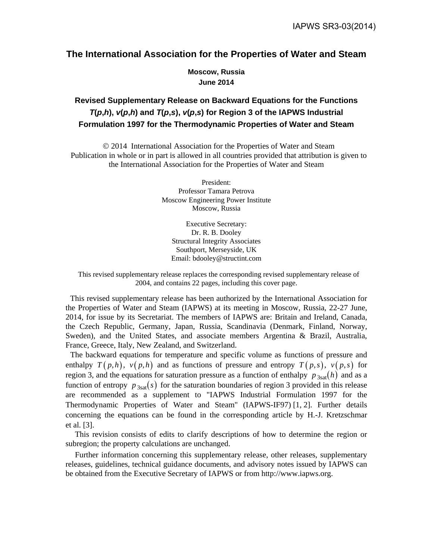# **The International Association for the Properties of Water and Steam**

**Moscow, Russia June 2014** 

# **Revised Supplementary Release on Backward Equations for the Functions**   $T(p,h)$ ,  $v(p,h)$  and  $T(p,s)$ ,  $v(p,s)$  for Region 3 of the IAPWS Industrial **Formulation 1997 for the Thermodynamic Properties of Water and Steam**

 2014 International Association for the Properties of Water and Steam Publication in whole or in part is allowed in all countries provided that attribution is given to the International Association for the Properties of Water and Steam

> President: Professor Tamara Petrova Moscow Engineering Power Institute Moscow, Russia

Executive Secretary: Dr. R. B. Dooley Structural Integrity Associates Southport, Merseyside, UK Email: bdooley@structint.com

This revised supplementary release replaces the corresponding revised supplementary release of 2004, and contains 22 pages, including this cover page.

This revised supplementary release has been authorized by the International Association for the Properties of Water and Steam (IAPWS) at its meeting in Moscow, Russia, 22-27 June, 2014, for issue by its Secretariat. The members of IAPWS are: Britain and Ireland, Canada, the Czech Republic, Germany, Japan, Russia, Scandinavia (Denmark, Finland, Norway, Sweden), and the United States, and associate members Argentina & Brazil, Australia, France, Greece, Italy, New Zealand, and Switzerland.

The backward equations for temperature and specific volume as functions of pressure and enthalpy  $T(p,h)$ ,  $v(p,h)$  and as functions of pressure and entropy  $T(p,s)$ ,  $v(p,s)$  for region 3, and the equations for saturation pressure as a function of enthalpy  $p_{3sat}(h)$  and as a function of entropy  $p_{3sat}(s)$  for the saturation boundaries of region 3 provided in this release are recommended as a supplement to "IAPWS Industrial Formulation 1997 for the Thermodynamic Properties of Water and Steam" (IAPWS-IF97) [1, 2]. Further details concerning the equations can be found in the corresponding article by H.-J. Kretzschmar et al. [3].

This revision consists of edits to clarify descriptions of how to determine the region or subregion; the property calculations are unchanged.

Further information concerning this supplementary release, other releases, supplementary releases, guidelines, technical guidance documents, and advisory notes issued by IAPWS can be obtained from the Executive Secretary of IAPWS or from http://www.iapws.org.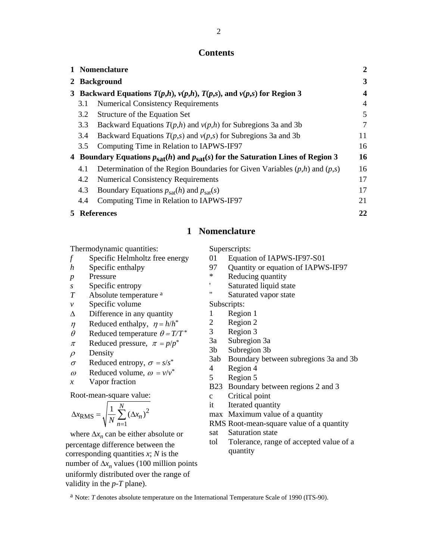### **Contents**

|   |              | 1 Nomenclature                                                                          | $\mathbf{2}$            |  |  |  |  |  |
|---|--------------|-----------------------------------------------------------------------------------------|-------------------------|--|--|--|--|--|
|   | 2 Background |                                                                                         |                         |  |  |  |  |  |
|   |              | 3 Backward Equations $T(p,h)$ , $v(p,h)$ , $T(p,s)$ , and $v(p,s)$ for Region 3         | $\overline{\mathbf{4}}$ |  |  |  |  |  |
|   | 3.1          | <b>Numerical Consistency Requirements</b>                                               | 4                       |  |  |  |  |  |
|   | 3.2          | Structure of the Equation Set                                                           | 5                       |  |  |  |  |  |
|   | 3.3          | Backward Equations $T(p,h)$ and $v(p,h)$ for Subregions 3a and 3b                       | 7                       |  |  |  |  |  |
|   | 3.4          | Backward Equations $T(p,s)$ and $v(p,s)$ for Subregions 3a and 3b                       | 11                      |  |  |  |  |  |
|   | 3.5          | Computing Time in Relation to IAPWS-IF97                                                | 16                      |  |  |  |  |  |
|   |              | 4 Boundary Equations $p_{sat}(h)$ and $p_{sat}(s)$ for the Saturation Lines of Region 3 | 16                      |  |  |  |  |  |
|   | 4.1          | Determination of the Region Boundaries for Given Variables $(p,h)$ and $(p,s)$          | 16                      |  |  |  |  |  |
|   | 4.2          | <b>Numerical Consistency Requirements</b>                                               | 17                      |  |  |  |  |  |
|   | 4.3          | Boundary Equations $p_{\text{sat}}(h)$ and $p_{\text{sat}}(s)$                          | 17                      |  |  |  |  |  |
|   | 4.4          | Computing Time in Relation to IAPWS-IF97                                                | 21                      |  |  |  |  |  |
| 5 |              | <b>References</b>                                                                       | 22                      |  |  |  |  |  |

## **1 Nomenclature**

Thermodynamic quantities:

- *f* Specific Helmholtz free energy
- *h* Specific enthalpy
- *p* Pressure
- *s* Specific entropy
- *T* Absolute temperature a
- *v* Specific volume
- $\Delta$  Difference in any quantity
- $\eta$  Reduced enthalpy,  $\eta = h/h^*$
- $\theta$  Reduced temperature  $\theta = T/T^*$
- $\pi$  Reduced pressure,  $\pi = p/p^*$
- $\rho$  Density
- $\sigma$  Reduced entropy,  $\sigma = s/s^*$
- $\omega$  Reduced volume,  $\omega = v/v^*$
- *x* Vapor fraction

Root-mean-square value:

$$
\Delta x_{\text{RMS}} = \sqrt{\frac{1}{N} \sum_{n=1}^{N} (\Delta x_n)^2}
$$

where  $\Delta x_n$  can be either absolute or percentage difference between the corresponding quantities *x*; *N* is the number of  $\Delta x_n$  values (100 million points uniformly distributed over the range of validity in the *p*-*T* plane).

Superscripts:

- 01 Equation of IAPWS-IF97-S01
- 97 Quantity or equation of IAPWS-IF97
- \* Reducing quantity
- ' Saturated liquid state
- " Saturated vapor state
- Subscripts:
- 1 Region 1
- 2 Region 2
- 3 Region 3
- 3a Subregion 3a
- 3b Subregion 3b
- 3ab Boundary between subregions 3a and 3b
- 4 Region 4
- 5 Region 5
- B23 Boundary between regions 2 and 3
- c Critical point
- it Iterated quantity
- max Maximum value of a quantity
- RMS Root-mean-square value of a quantity
- sat Saturation state
- tol Tolerance, range of accepted value of a quantity

a Note: *T* denotes absolute temperature on the International Temperature Scale of 1990 (ITS-90).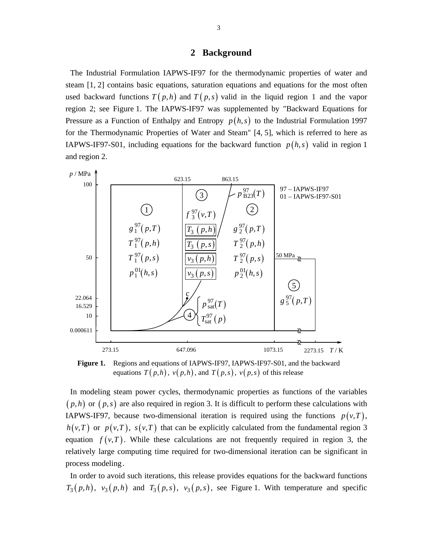#### **2 Background**

The Industrial Formulation IAPWS-IF97 for the thermodynamic properties of water and steam [1, 2] contains basic equations, saturation equations and equations for the most often used backward functions  $T(p,h)$  and  $T(p,s)$  valid in the liquid region 1 and the vapor region 2; see Figure 1. The IAPWS-IF97 was supplemented by "Backward Equations for Pressure as a Function of Enthalpy and Entropy  $p(h, s)$  to the Industrial Formulation 1997 for the Thermodynamic Properties of Water and Steam" [4, 5], which is referred to here as IAPWS-IF97-S01, including equations for the backward function  $p(h, s)$  valid in region 1 and region 2.



**Figure 1.** Regions and equations of IAPWS-IF97, IAPWS-IF97-S01, and the backward equations  $T(p,h)$ ,  $v(p,h)$ , and  $T(p,s)$ ,  $v(p,s)$  of this release

In modeling steam power cycles, thermodynamic properties as functions of the variables  $(p,h)$  or  $(p,s)$  are also required in region 3. It is difficult to perform these calculations with IAPWS-IF97, because two-dimensional iteration is required using the functions  $p(v,T)$ ,  $h(v,T)$  or  $p(v,T)$ ,  $s(v,T)$  that can be explicitly calculated from the fundamental region 3 equation  $f(v,T)$ . While these calculations are not frequently required in region 3, the relatively large computing time required for two-dimensional iteration can be significant in process modeling.

In order to avoid such iterations, this release provides equations for the backward functions  $T_3(p,h)$ ,  $v_3(p,h)$  and  $T_3(p,s)$ ,  $v_3(p,s)$ , see Figure 1. With temperature and specific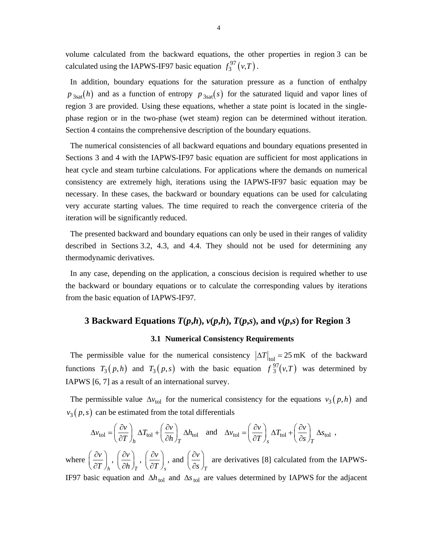volume calculated from the backward equations, the other properties in region 3 can be calculated using the IAPWS-IF97 basic equation  $f_3^{97}(v,T)$ .

In addition, boundary equations for the saturation pressure as a function of enthalpy  $p_{3sat}(h)$  and as a function of entropy  $p_{3sat}(s)$  for the saturated liquid and vapor lines of region 3 are provided. Using these equations, whether a state point is located in the singlephase region or in the two-phase (wet steam) region can be determined without iteration. Section 4 contains the comprehensive description of the boundary equations.

The numerical consistencies of all backward equations and boundary equations presented in Sections 3 and 4 with the IAPWS-IF97 basic equation are sufficient for most applications in heat cycle and steam turbine calculations. For applications where the demands on numerical consistency are extremely high, iterations using the IAPWS-IF97 basic equation may be necessary. In these cases, the backward or boundary equations can be used for calculating very accurate starting values. The time required to reach the convergence criteria of the iteration will be significantly reduced.

The presented backward and boundary equations can only be used in their ranges of validity described in Sections 3.2, 4.3, and 4.4. They should not be used for determining any thermodynamic derivatives.

In any case, depending on the application, a conscious decision is required whether to use the backward or boundary equations or to calculate the corresponding values by iterations from the basic equation of IAPWS-IF97.

# **3 Backward Equations** *T***(***p***,***h***),**  $v(p,h)$ **,**  $T(p,s)$ **, and**  $v(p,s)$  **for Region 3**

#### **3.1 Numerical Consistency Requirements**

The permissible value for the numerical consistency  $|\Delta T|_{\text{tol}} = 25 \text{ mK}$  of the backward functions  $T_3(p,h)$  and  $T_3(p,s)$  with the basic equation  $f_3^{97}(v,T)$  was determined by IAPWS [6, 7] as a result of an international survey.

The permissible value  $\Delta v_{\text{tol}}$  for the numerical consistency for the equations  $v_3(p,h)$  and  $v_3(p,s)$  can be estimated from the total differentials

$$
\Delta v_{\text{tol}} = \left(\frac{\partial v}{\partial T}\right)_h \Delta T_{\text{tol}} + \left(\frac{\partial v}{\partial h}\right)_T \Delta h_{\text{tol}} \quad \text{and} \quad \Delta v_{\text{tol}} = \left(\frac{\partial v}{\partial T}\right)_s \Delta T_{\text{tol}} + \left(\frac{\partial v}{\partial s}\right)_T \Delta s_{\text{tol}} \ ,
$$

where  $\left(\frac{\partial v}{\partial x}\right)$  $\left(\overline{\partial T}\right)_h$  $\left(\frac{\partial v}{\partial h}\right)_h, \, \left(\frac{\partial v}{\partial h}\right)_T$  $\left(\frac{\partial v}{\partial T}\right)_r$  ,  $\left(\frac{\partial v}{\partial T}\right)_s$  $\left(\frac{\partial v}{\partial s}\right)_T$ , and  $\left(\frac{\partial v}{\partial s}\right)_T$ *v s* are derivatives [8] calculated from the IAPWS-

IF97 basic equation and  $\Delta h_{\text{tol}}$  and  $\Delta s_{\text{tol}}$  are values determined by IAPWS for the adjacent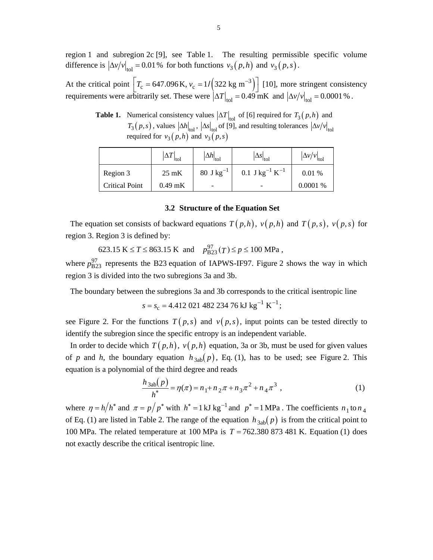region 1 and subregion 2c [9], see Table 1. The resulting permissible specific volume difference is  $\left|\Delta v/v\right|_{\text{tol}} = 0.01\%$  for both functions  $v_3(p, h)$  and  $v_3(p, s)$ .

At the critical point  $T_c = 647.096 \text{ K}$ ,  $v_c = 1/ (322 \text{ kg m}^{-3})$  [10], more stringent consistency requirements were arbitrarily set. These were  $|\Delta T|_{\text{tol}} = 0.49 \text{ mK}$  and  $|\Delta v / v|_{\text{tol}} = 0.0001 \text{ %}.$ 

**Table 1.** Numerical consistency values  $|\Delta T|_{\text{tol}}$  of [6] required for  $T_3(p,h)$  and  $T_3(p,s)$ , values  $\left|\Delta h\right|_{\text{tol}}$ ,  $\left|\Delta s\right|_{\text{tol}}$  of [9], and resulting tolerances  $\left|\Delta v/v\right|_{\text{tol}}$ required for  $v_3(p,h)$  and  $v_3(p,s)$ 

|                       | $\Delta T\big _{\rm tol}$ | $ \Delta h _{\text{tol}}$ | $ \Delta s _{\text{tol}}$              | $ \Delta v/v _{\text{tol}}$ |
|-----------------------|---------------------------|---------------------------|----------------------------------------|-----------------------------|
| Region 3              | $25 \text{ mK}$           | 80 J kg <sup>-1</sup>     | 0.1 J kg <sup>-1</sup> K <sup>-1</sup> | 0.01%                       |
| <b>Critical Point</b> | $0.49$ mK                 | $\overline{\phantom{0}}$  |                                        | 0.0001%                     |

#### **3.2 Structure of the Equation Set**

The equation set consists of backward equations  $T(p,h)$ ,  $v(p,h)$  and  $T(p,s)$ ,  $v(p,s)$  for region 3. Region 3 is defined by:

 $623.15 \text{ K} \le T \le 863.15 \text{ K} \text{ and } p_{B23}^{97}(T) \le p \le 100 \text{ MPa}$ ,

where  $p_{B23}^{97}$  represents the B23 equation of IAPWS-IF97. Figure 2 shows the way in which region 3 is divided into the two subregions 3a and 3b.

The boundary between the subregions 3a and 3b corresponds to the critical isentropic line

$$
s = s_c = 4.412\ 021\ 482\ 234\ 76\ \mathrm{kJ\ kg}^{-1}\ \mathrm{K}^{-1};
$$

see Figure 2. For the functions  $T(p,s)$  and  $v(p,s)$ , input points can be tested directly to identify the subregion since the specific entropy is an independent variable.

In order to decide which  $T(p,h)$ ,  $v(p,h)$  equation, 3a or 3b, must be used for given values of *p* and *h*, the boundary equation  $h_{3ab}(p)$ , Eq. (1), has to be used; see Figure 2. This equation is a polynomial of the third degree and reads

$$
\frac{h_{3ab}(p)}{h^*} = \eta(\pi) = n_1 + n_2 \pi + n_3 \pi^2 + n_4 \pi^3
$$
\n(1)

where  $\eta = h/h^*$  and  $\pi = p/p^*$  with  $h^* = 1 \text{ kJ kg}^{-1}$  and  $p^* = 1 \text{ MPa}$ . The coefficients  $n_1 \text{ to } n_4$ of Eq. (1) are listed in Table 2. The range of the equation  $h_{3ab}(p)$  is from the critical point to 100 MPa. The related temperature at 100 MPa is  $T = 762.380873481$  K. Equation (1) does not exactly describe the critical isentropic line.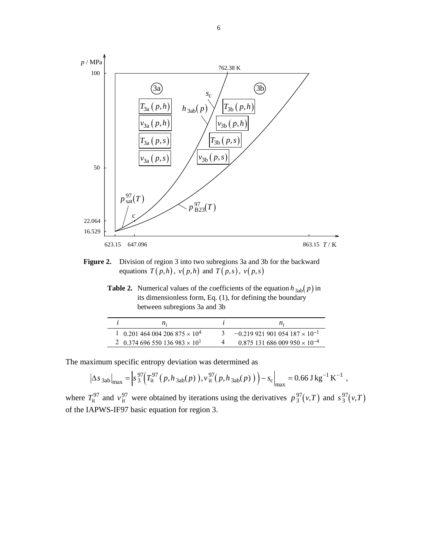

**Figure 2.** Division of region 3 into two subregions 3a and 3b for the backward equations  $T(p,h)$ ,  $v(p,h)$  and  $T(p,s)$ ,  $v(p,s)$ 

**Table 2.** Numerical values of the coefficients of the equation  $h_{3ab}(p)$  in its dimensionless form, Eq. (1), for defining the boundary between subregions 3a and 3b

| $n_{\rm i}$                                      | $n_{\rm}$                                         |
|--------------------------------------------------|---------------------------------------------------|
| 1 0.201 464 004 206 875 $\times$ 10 <sup>4</sup> | $-0.219921901054187 \times 10^{-1}$               |
| 2 0.374 696 550 136 983 $\times$ 10 <sup>1</sup> | $0.875$ 131 686 009 950 $\times$ 10 <sup>-4</sup> |

The maximum specific entropy deviation was determined as

$$
\left|\Delta s_{3ab}\right|_{\text{max}} = \left| s_3^{97} \left( T_{\text{it}}^{97} \left( p, h_{3ab}(p) \right), v_{\text{it}}^{97} \left( p, h_{3ab}(p) \right) \right) - s_c \right|_{\text{max}} = 0.66 \text{ J kg}^{-1} \text{ K}^{-1} ,
$$

where  $T_{it}^{97}$  and  $v_{it}^{97}$  were obtained by iterations using the derivatives  $p_3^{97}(v,T)$  and  $s_3^{97}(v,T)$ of the IAPWS-IF97 basic equation for region 3.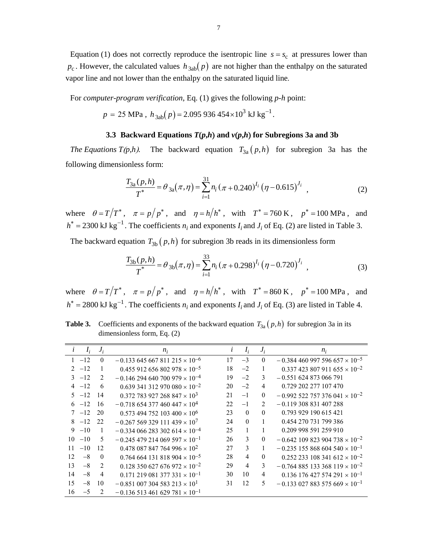Equation (1) does not correctly reproduce the isentropic line  $s = s_c$  at pressures lower than  $p_c$ . However, the calculated values  $h_{3ab}(p)$  are not higher than the enthalpy on the saturated vapor line and not lower than the enthalpy on the saturated liquid line.

For *computer-program verification*, Eq. (1) gives the following *p*-*h* point:

$$
p = 25 \text{ MPa}
$$
,  $h_{3ab}(p) = 2.095\,936\,454 \times 10^3 \text{ kJ kg}^{-1}$ .

#### **3.3 Backward Equations**  $T(p,h)$  **and**  $v(p,h)$  **for Subregions 3a and 3b**

*The Equations T(p,h).* The backward equation  $T_{3a}(p,h)$  for subregion 3a has the following dimensionless form:

$$
\frac{T_{3a}(p,h)}{T^*} = \theta_{3a}(\pi,\eta) = \sum_{i=1}^{31} n_i (\pi + 0.240)^{I_i} (\eta - 0.615)^{J_i}, \qquad (2)
$$

where  $\theta = T/T^*$ ,  $\pi = p/p^*$ , and  $\eta = h/h^*$ , with  $T^* = 760 \text{ K}$ ,  $p^* = 100 \text{ MPa}$ , and  $h^* = 2300 \text{ kJ kg}^{-1}$ . The coefficients  $n_i$  and exponents  $I_i$  and  $J_i$  of Eq. (2) are listed in Table 3.

The backward equation  $T_{3b}(p,h)$  for subregion 3b reads in its dimensionless form

$$
\frac{T_{3b}(p,h)}{T^*} = \theta_{3b}(\pi,\eta) = \sum_{i=1}^{33} n_i (\pi + 0.298)^{I_i} (\eta - 0.720)^{J_i}, \qquad (3)
$$

where  $\theta = T/T^*$ ,  $\pi = p/p^*$ , and  $\eta = h/h^*$ , with  $T^* = 860 \text{ K}$ ,  $p^* = 100 \text{ MPa}$ , and  $h^* = 2800 \text{ kJ kg}^{-1}$ . The coefficients  $n_i$  and exponents  $I_i$  and  $J_i$  of Eq. (3) are listed in Table 4.

**Table 3.** Coefficients and exponents of the backward equation  $T_{3a}(p,h)$  for subregion 3a in its dimensionless form, Eq. (2)

| i  | $I_i$    | $J_i$          | $n_i$                                              |    | $I_i$    | $J_i$          | $n_i$                                              |
|----|----------|----------------|----------------------------------------------------|----|----------|----------------|----------------------------------------------------|
|    | $1 -12$  | $\theta$       | $-0.133$ 645 667 811 215 $\times$ 10 <sup>-6</sup> | 17 | $-3$     | $\theta$       | $-0.384460997596657 \times 10^{-5}$                |
|    | $2 -12$  |                | $0.455912656802978\times 10^{-5}$                  | 18 | $-2$     | 1              | $0.337 423 807 911 655 \times 10^{-2}$             |
|    | $3 -12$  | $\mathfrak{D}$ | $-0.146294640700979\times 10^{-4}$                 | 19 | $-2$     | 3              | $-0.551624873066791$                               |
|    | $4 -12$  | 6              | $0.639341312970080 \times 10^{-2}$                 | 20 | $-2$     | 4              | 0.729 202 277 107 470                              |
|    | $5 -12$  | 14             | $0.372$ 783 927 268 847 $\times$ 10 <sup>3</sup>   | 21 | $-1$     | $\theta$       | $-0.992$ 522 757 376 041 $\times$ 10 <sup>-2</sup> |
|    | $6 -12$  | 16             | $-0.718$ 654 377 460 447 $\times$ 10 <sup>4</sup>  | 22 | $-1$     | $\mathfrak{D}$ | $-0.119308831407288$                               |
|    | $7 -12$  | 20             | $0.573$ 494 752 103 400 $\times$ 10 <sup>6</sup>   | 23 | $\theta$ | $\theta$       | 0.793 929 190 615 421                              |
|    | $8 - 12$ | 22             | $-0.267569329111439 \times 10^{7}$                 | 24 | $\Omega$ |                | 0.454 270 731 799 386                              |
|    | $9 - 10$ | 1              | $-0.334$ 066 283 302 614 $\times$ 10 <sup>-4</sup> | 25 |          |                | 0.209 998 591 259 910                              |
| 10 | $-10$    | 5              | $-0.245$ 479 214 069 597 $\times$ 10 <sup>-1</sup> | 26 | 3        | $\theta$       | $-0.642$ 109 823 904 738 $\times$ 10 <sup>-2</sup> |
| 11 | $-10$    | 12             | $0.478$ 087 847 764 996 $\times$ 10 <sup>2</sup>   | 27 | 3        |                | $-0.235155868604540\times10^{-1}$                  |
| 12 | $-8$     | $\theta$       | $0.764664131818904 \times 10^{-5}$                 | 28 | 4        | $\theta$       | $0.252233108341612 \times 10^{-2}$                 |
| 13 | $-8$     | 2              | $0.128$ 350 627 676 972 $\times$ 10 <sup>-2</sup>  | 29 | 4        | 3              | $-0.764885133368119 \times 10^{-2}$                |
| 14 | $-8$     | $\overline{4}$ | $0.171$ 219 081 377 331 $\times$ 10 <sup>-1</sup>  | 30 | 10       | 4              | $0.136$ 176 427 574 291 $\times$ 10 <sup>-1</sup>  |
| 15 | $-8$     | 10             | $-0.851\ 007\ 304\ 583\ 213\times 10^{1}$          | 31 | 12       | 5              | $-0.133$ 027 883 575 669 $\times$ 10 <sup>-1</sup> |
| 16 | $-5$     | 2              | $-0.136513461629781 \times 10^{-1}$                |    |          |                |                                                    |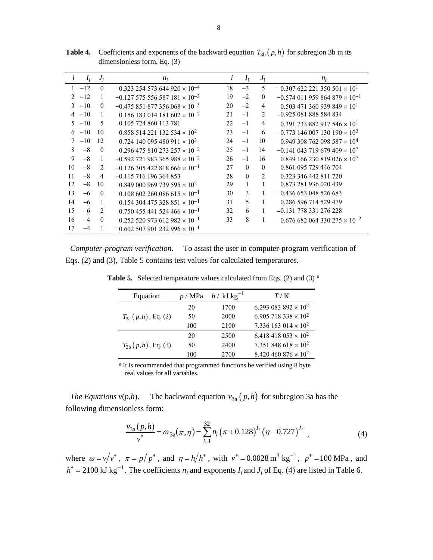| $\mathbf{L}$                | $I_i$ | $J_i$          | $n_i$                                              | $\iota$ | $I_i$    | $J_i$          | $n_i$                                              |
|-----------------------------|-------|----------------|----------------------------------------------------|---------|----------|----------------|----------------------------------------------------|
|                             | $-12$ | $\theta$       | $0.323$ 254 573 644 920 $\times$ 10 <sup>-4</sup>  | 18      | $-3$     | 5              | $-0.307$ 622 221 350 501 $\times$ 10 <sup>1</sup>  |
| $\mathcal{D}_{\mathcal{A}}$ | $-12$ |                | $-0.127$ 575 556 587 181 $\times$ 10 <sup>-3</sup> | 19      | $-2$     | $\theta$       | $-0.574$ 011 959 864 879 $\times$ 10 <sup>-1</sup> |
| $\mathcal{L}$               | $-10$ | $\Omega$       | $-0.475851877356068 \times 10^{-3}$                | 20      | $-2$     | 4              | $0.503$ 471 360 939 849 $\times$ 10 <sup>1</sup>   |
| $\overline{4}$              | $-10$ | 1              | $0.156$ 183 014 181 602 $\times$ 10 <sup>-2</sup>  | 2.1     | $-1$     | $\mathfrak{D}$ | $-0.925081888584834$                               |
| 5                           | $-10$ | 5              | 0.105 724 860 113 781                              | 22.     | $-1$     | 4              | 0.391 733 882 917 546 $\times$ 10 <sup>1</sup>     |
| 6                           | $-10$ | 10             | $-0.858$ 514 221 132 534 $\times$ 10 <sup>2</sup>  | 23      | $-1$     | 6              | $-0.773$ 146 007 130 190 $\times$ 10 <sup>2</sup>  |
| 7                           | $-10$ | 12             | $0.724$ 140 095 480 911 $\times$ 10 <sup>3</sup>   | 24      | $-1$     | 10             | $0.949308762098587 \times 10^{4}$                  |
| 8                           | $-8$  | $\theta$       | $0.296$ 475 810 273 257 $\times$ 10 <sup>-2</sup>  | 25      | $-1$     | 14             | $-0.141$ 043 719 679 409 $\times$ 10 <sup>7</sup>  |
| 9                           | $-8$  | 1              | $-0.592$ 721 983 365 988 $\times$ 10 <sup>-2</sup> | 26      | $-1$     | 16             | $0.849166230819026\times10^{7}$                    |
| 10                          | $-8$  | $\mathfrak{D}$ | $-0.126$ 305 422 818 666 $\times$ 10 <sup>-1</sup> | 27      | $\Omega$ | $\Omega$       | 0.861 095 729 446 704                              |
| 11                          | $-8$  | 4              | $-0.115$ 716 196 364 853                           | 28      | $\Omega$ | $\mathcal{D}$  | 0.323 346 442 811 720                              |
| 12                          | $-8$  | 10             | $0.849\ 000\ 969\ 739\ 595\times 10^{2}$           | 29      |          |                | 0.873 281 936 020 439                              |
| 13                          | $-6$  | $\mathbf{0}$   | $-0.108$ 602 260 086 615 $\times$ 10 <sup>-1</sup> | 30      | 3        | 1              | $-0.436$ 653 048 526 683                           |
| 14                          | $-6$  | 1              | $0.154$ 304 475 328 851 $\times$ 10 <sup>-1</sup>  | 31      | 5        |                | 0.286 596 714 529 479                              |
| 15                          | $-6$  | 2              | $0.750455441524466 \times 10^{-1}$                 | 32      | 6        |                | $-0.131$ 778 331 276 228                           |
| 16                          | $-4$  | $\theta$       | $0.252520973612982 \times 10^{-1}$                 | 33      | 8        | 1              | $0.676682064330275\times 10^{-2}$                  |
| 17                          | $-4$  | 1              | $-0.602$ 507 901 232 996 $\times$ 10 <sup>-1</sup> |         |          |                |                                                    |

**Table 4.** Coefficients and exponents of the backward equation  $T_{3b}(p,h)$  for subregion 3b in its dimensionless form, Eq. (3)

*Computer-program verification.* To assist the user in computer-program verification of Eqs. (2) and (3), Table 5 contains test values for calculated temperatures.

| Equation                | p / MPa | $h / kJ kg^{-1}$ | T/K                                    |
|-------------------------|---------|------------------|----------------------------------------|
|                         | 20      | 1700             | 6.293 083 892 $\times$ 10 <sup>2</sup> |
| $T_{3a}(p,h)$ , Eq. (2) | 50      | 2000             | 6.905 718 338 $\times$ 10 <sup>2</sup> |
|                         | 100     | 2100             | 7.336 163 014 $\times$ 10 <sup>2</sup> |
|                         | 20      | 2500             | $6.418418053 \times 10^{2}$            |
| $T_{3b}(p,h)$ , Eq. (3) | 50      | 2400             | 7.351 848 618 $\times$ 10 <sup>2</sup> |
|                         | 100     | 2700             | $8.420460876 \times 10^{2}$            |

**Table 5.** Selected temperature values calculated from Eqs. (2) and (3) <sup>a</sup>

a It is recommended that programmed functions be verified using 8 byte real values for all variables.

*The Equations*  $v(p,h)$ *.* The backward equation  $v_{3a}(p,h)$  for subregion 3a has the following dimensionless form:

$$
\frac{v_{3a}(p,h)}{v^*} = \omega_{3a}(\pi,\eta) = \sum_{i=1}^{32} n_i (\pi + 0.128)^{I_i} (\eta - 0.727)^{J_i}, \qquad (4)
$$

where  $\omega = v/v^*$ ,  $\pi = p/p^*$ , and  $\eta = h/h^*$ , with  $v^* = 0.0028 \text{ m}^3 \text{ kg}^{-1}$ ,  $p^* = 100 \text{ MPa}$ , and  $h^* = 2100 \text{ kJ kg}^{-1}$ . The coefficients  $n_i$  and exponents  $I_i$  and  $J_i$  of Eq. (4) are listed in Table 6.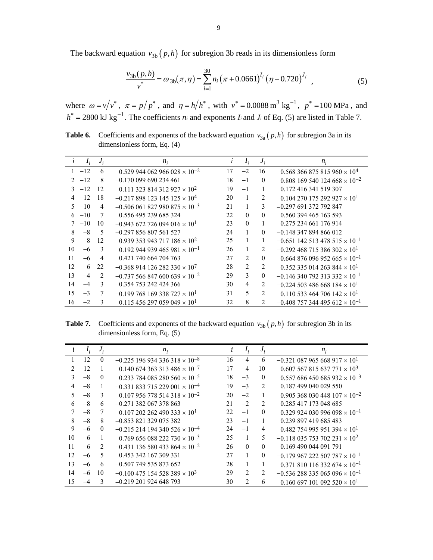The backward equation  $v_{3b}(p, h)$  for subregion 3b reads in its dimensionless form

$$
\frac{v_{3b}(p,h)}{v^*} = \omega_{3b}(\pi,\eta) = \sum_{i=1}^{30} n_i (\pi + 0.0661)^{I_i} (\eta - 0.720)^{J_i}, \qquad (5)
$$

where  $\omega = v/v^*$ ,  $\pi = p/p^*$ , and  $\eta = h/h^*$ , with  $v^* = 0.0088 \text{ m}^3 \text{ kg}^{-1}$ ,  $p^* = 100 \text{ MPa}$ , and  $h^* = 2800 \text{ kJ kg}^{-1}$ . The coefficients  $n_i$  and exponents  $I_i$  and  $J_i$  of Eq. (5) are listed in Table 7.

**Table 6.** Coefficients and exponents of the backward equation  $v_{3a}(p,h)$  for subregion 3a in its dimensionless form, Eq. (4)

| L             | $I_i$   | $J_i$          | $n_i$                                             | l  | $I_i$          | $J_i$          | $n_i$                                              |
|---------------|---------|----------------|---------------------------------------------------|----|----------------|----------------|----------------------------------------------------|
|               | $1 -12$ | 6              | $0.529$ 944 062 966 028 $\times$ 10 <sup>-2</sup> | 17 | $-2$           | 16             | $0.568366875815960\times10^{4}$                    |
| $\mathcal{D}$ | $-12$   | 8              | $-0.170099690234461$                              | 18 | $-1$           | $\theta$       | $0.808$ 169 540 124 668 $\times$ 10 <sup>-2</sup>  |
|               | $3 -12$ | 12             | $0.111$ 323 814 312 927 $\times$ 10 <sup>2</sup>  | 19 | $-1$           |                | 0.172 416 341 519 307                              |
| 4             | $-12$   | 18             | $-0.217898123145125 \times 10^{4}$                | 20 | $-1$           | 2              | $0.104270175292927 \times 10^{1}$                  |
|               | $5 -10$ | 4              | $-0.506061827980875 \times 10^{-3}$               | 21 | $-1$           | 3              | $-0.297691372792847$                               |
|               | $6 -10$ | 7              | 0.556 495 239 685 324                             | 22 | $\theta$       | $\Omega$       | 0.560 394 465 163 593                              |
| 7             | $-10$   | 10             | $-0.943$ 672 726 094 016 $\times$ 10 <sup>1</sup> | 23 | $\theta$       | 1              | 0.275 234 661 176 914                              |
| 8             | $-8$    | 5              | $-0.297856807561527$                              | 24 |                | $\theta$       | $-0.148347894866012$                               |
| 9             | $-8$    | 12             | $0.939353943717186 \times 10^{2}$                 | 25 |                | 1              | $-0.651$ 142 513 478 515 $\times$ 10 <sup>-1</sup> |
| 10            | $-6$    | 3              | $0.192$ 944 939 465 981 $\times$ 10 <sup>-1</sup> | 26 |                | 2              | $-0.292$ 468 715 386 302 $\times$ 10 <sup>1</sup>  |
| 11            | $-6$    | $\overline{4}$ | 0.421 740 664 704 763                             | 27 | $\mathfrak{D}$ | $\theta$       | $0.664$ 876 096 952 665 $\times$ 10 <sup>-1</sup>  |
| 12            | $-6$    | 22             | $-0.368914126282330\times10^{7}$                  | 28 | $\overline{2}$ | 2              | $0.352$ 335 014 263 844 $\times$ 10 <sup>1</sup>   |
| 13            | $-4$    | 2              | $-0.737566847600639 \times 10^{-2}$               | 29 | 3              | $\mathbf{0}$   | $-0.146$ 340 792 313 332 $\times$ 10 <sup>-1</sup> |
| 14            | $-4$    | $\mathcal{E}$  | $-0.354$ 753 242 424 366                          | 30 | 4              | $\overline{c}$ | $-0.224$ 503 486 668 184 $\times$ 10 <sup>1</sup>  |
| 15            | $-3$    | 7              | $-0.199768169338727\times10^{1}$                  | 31 | 5              | $\overline{c}$ | $0.110$ 533 464 706 142 $\times$ 10 <sup>1</sup>   |
| 16            | $-2$    | 3              | $0.115456297059049 \times 10^{1}$                 | 32 | 8              | $\mathfrak{D}$ | $-0.408$ 757 344 495 612 $\times$ 10 <sup>-1</sup> |

**Table 7.** Coefficients and exponents of the backward equation  $v_{3b}(p,h)$  for subregion 3b in its dimensionless form, Eq. (5)

|                             | $I_i$ | $J_i$    | $n_i$                                              |    | $I_i$          | $J_i$          | $n_i$                                              |
|-----------------------------|-------|----------|----------------------------------------------------|----|----------------|----------------|----------------------------------------------------|
|                             | $-12$ | $\theta$ | $-0.225196934336318 \times 10^{-8}$                | 16 | $-4$           | 6              | $-0.321$ 087 965 668 917 $\times$ 10 <sup>1</sup>  |
| $\mathcal{D}_{\mathcal{L}}$ | $-12$ |          | $0.140\,674\,363\,313\,486\times10^{-7}$           | 17 | $-4$           | 10             | $0.607567815637771\times10^{3}$                    |
| 3                           | $-8$  | $\theta$ | $0.233784085280560\times 10^{-5}$                  | 18 | $-3$           | $\theta$       | $0.557686450685932\times 10^{-3}$                  |
| 4                           | $-8$  |          | $-0.331833715229001 \times 10^{-4}$                | 19 | $-3$           | $\mathfrak{D}$ | 0.187 499 040 029 550                              |
| 5                           | $-8$  | 3        | $0.107$ 956 778 514 318 $\times$ 10 <sup>-2</sup>  | 20 | $-2$           | 1              | $0.905$ 368 030 448 107 $\times$ 10 <sup>-2</sup>  |
| 6                           | $-8$  | 6        | $-0.271$ 382 067 378 863                           | 21 | $-2$           | 2              | 0.285 417 173 048 685                              |
| 7                           | $-8$  |          | $0.107202262490333 \times 10^{1}$                  | 22 | $-1$           | $\theta$       | $0.329924030996098 \times 10^{-1}$                 |
| 8                           | $-8$  | 8        | $-0.853$ 821 329 075 382                           | 23 | $-1$           |                | 0.239 897 419 685 483                              |
| 9                           | $-6$  | $\theta$ | $-0.215214194340526\times10^{-4}$                  | 24 | $-1$           | 4              | $0.482$ 754 995 951 394 $\times$ 10 <sup>1</sup>   |
| 10                          | $-6$  | 1        | $0.769656088222730\times 10^{-3}$                  | 25 | $-1$           | 5              | $-0.118$ 035 753 702 231 $\times$ 10 <sup>2</sup>  |
| 11                          | $-6$  | 2        | $-0.431$ 136 580 433 864 $\times$ 10 <sup>-2</sup> | 26 | $\Omega$       | $\Omega$       | 0.169 490 044 091 791                              |
| 12                          | $-6$  | 5        | 0.453 342 167 309 331                              | 27 |                | $\theta$       | $-0.179$ 967 222 507 787 $\times$ 10 <sup>-1</sup> |
| 13                          | $-6$  | 6        | $-0.507$ 749 535 873 652                           | 28 |                |                | $0.371$ 810 116 332 674 $\times$ 10 <sup>-1</sup>  |
| 14                          | $-6$  | 10       | $-0.100475154528389 \times 10^{3}$                 | 29 | $\mathfrak{D}$ | 2              | $-0.536288335065096\times10^{-1}$                  |
| 15                          |       | 3        | $-0.219201924648793$                               | 30 | $\mathcal{D}$  | 6              | $0.160697101092520\times10^{1}$                    |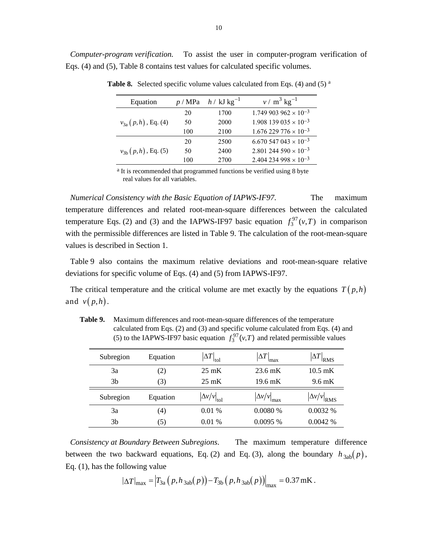*Computer-program verification.* To assist the user in computer-program verification of Eqs. (4) and (5), Table 8 contains test values for calculated specific volumes.

| Equation                 | p / MPa | $h / kJ kg^{-1}$ | $v / m^3$ kg <sup>-1</sup>                |
|--------------------------|---------|------------------|-------------------------------------------|
|                          | 20      | 1700             | $1.749903962 \times 10^{-3}$              |
| $v_{3a} (p,h)$ , Eq. (4) | 50      | 2000             | $1.908$ 139 035 $\times$ 10 <sup>-3</sup> |
|                          | 100     | 2100             | $1.676$ 229 776 $\times$ 10 <sup>-3</sup> |
|                          | 20      | 2500             | $6.670$ 547 043 $\times$ 10 <sup>-3</sup> |
| $v_{3b}(p,h)$ , Eq. (5)  | 50      | 2400             | 2.801 244 590 $\times$ 10 <sup>-3</sup>   |
|                          | 100     | 2700             | $2.404$ 234 998 $\times$ 10 <sup>-3</sup> |

**Table 8.** Selected specific volume values calculated from Eqs. (4) and (5) <sup>a</sup>

a It is recommended that programmed functions be verified using 8 byte real values for all variables.

*Numerical Consistency with the Basic Equation of IAPWS-IF97*. The maximum temperature differences and related root-mean-square differences between the calculated temperature Eqs. (2) and (3) and the IAPWS-IF97 basic equation  $f_3^{97}(v,T)$  in comparison with the permissible differences are listed in Table 9. The calculation of the root-mean-square values is described in Section 1.

Table 9 also contains the maximum relative deviations and root-mean-square relative deviations for specific volume of Eqs. (4) and (5) from IAPWS-IF97.

The critical temperature and the critical volume are met exactly by the equations  $T(p,h)$ and  $v(p,h)$ .

| Subregion | Equation | $\Delta T\big _{\rm tol}$              | $\Delta T$<br>lmax                | $\left \Delta T\right _{\rm RMS}$   |
|-----------|----------|----------------------------------------|-----------------------------------|-------------------------------------|
| 3a        | (2)      | $25 \text{ mK}$                        | $23.6 \text{ mK}$                 | $10.5 \text{ mK}$                   |
| 3b        | 3)       | $25 \text{ mK}$                        | $19.6 \text{ mK}$                 | $9.6 \text{ mK}$                    |
| Subregion | Equation | $\left \Delta v/v\right _{\text{tol}}$ | $\Delta v/v$ <sub>r</sub><br>Imax | $\left \Delta v/v\right _{\rm RMS}$ |
| 3a        | (4)      | 0.01%                                  | 0.0080%                           | 0.0032%                             |
| 3b        | (5)      | 0.01%                                  | 0.0095%                           | 0.0042%                             |

**Table 9.** Maximum differences and root-mean-square differences of the temperature calculated from Eqs. (2) and (3) and specific volume calculated from Eqs. (4) and (5) to the IAPWS-IF97 basic equation  $f_3^{97}(v,T)$  and related permissible values

*Consistency at Boundary Between Subregions*. The maximum temperature difference between the two backward equations, Eq. (2) and Eq. (3), along the boundary  $h_{3ab}(p)$ , Eq. (1), has the following value

$$
|\Delta T|_{\text{max}} = |T_{3a} (p, h_{3ab}(p)) - T_{3b} (p, h_{3ab}(p))|_{\text{max}} = 0.37 \text{ mK}.
$$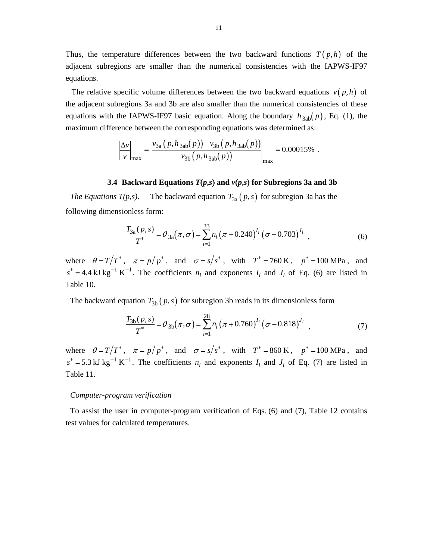Thus, the temperature differences between the two backward functions  $T(p,h)$  of the adjacent subregions are smaller than the numerical consistencies with the IAPWS-IF97 equations.

The relative specific volume differences between the two backward equations  $v(p,h)$  of the adjacent subregions 3a and 3b are also smaller than the numerical consistencies of these equations with the IAPWS-IF97 basic equation. Along the boundary  $h_{3ab}(p)$ , Eq. (1), the maximum difference between the corresponding equations was determined as:

$$
\left|\frac{\Delta v}{v}\right|_{\text{max}} = \left|\frac{v_{3a}(p, h_{3ab}(p)) - v_{3b}(p, h_{3ab}(p))}{v_{3b}(p, h_{3ab}(p))}\right|_{\text{max}} = 0.00015\%.
$$

#### **3.4 Backward Equations** *T***(***p***,***s***) and** *v***(***p***,***s***) for Subregions 3a and 3b**

*The Equations T(p,s)*. The backward equation  $T_{3a}(p,s)$  for subregion 3a has the following dimensionless form:

$$
\frac{T_{3a}(p,s)}{T^*} = \theta_{3a}(\pi,\sigma) = \sum_{i=1}^{33} n_i (\pi + 0.240)^{I_i} (\sigma - 0.703)^{J_i}, \qquad (6)
$$

where  $\theta = T/T^*$ ,  $\pi = p/p^*$ , and  $\sigma = s/s^*$ , with  $T^* = 760 \text{ K}$ ,  $p^* = 100 \text{ MPa}$ , and  $s^* = 4.4$  kJ kg<sup>-1</sup> K<sup>-1</sup>. The coefficients  $n_i$  and exponents  $I_i$  and  $J_i$  of Eq. (6) are listed in Table 10.

The backward equation  $T_{3b}(p, s)$  for subregion 3b reads in its dimensionless form

$$
\frac{T_{3b}(p,s)}{T^*} = \theta_{3b}(\pi,\sigma) = \sum_{i=1}^{28} n_i (\pi + 0.760)^{I_i} (\sigma - 0.818)^{J_i}, \qquad (7)
$$

where  $\theta = T/T^*$ ,  $\pi = p/p^*$ , and  $\sigma = s/s^*$ , with  $T^* = 860 \text{ K}$ ,  $p^* = 100 \text{ MPa}$ , and  $s^* = 5.3$  kJ kg<sup>-1</sup> K<sup>-1</sup>. The coefficients  $n_i$  and exponents  $I_i$  and  $J_i$  of Eq. (7) are listed in Table 11.

#### *Computer-program verification*

To assist the user in computer-program verification of Eqs. (6) and (7), Table 12 contains test values for calculated temperatures.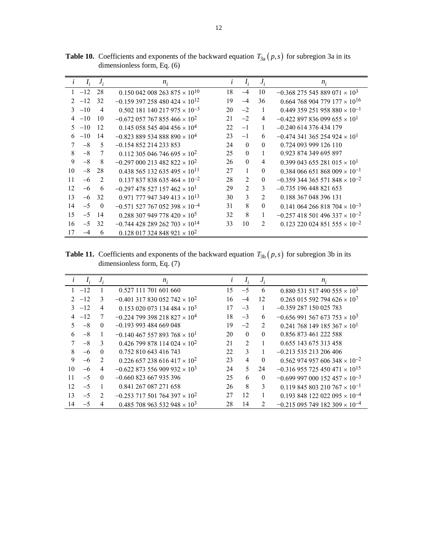| $\iota$       |         | $I_i$ $J_i$    | $n_i$                                              | l   | $I_i$          | $J_i$          | $n_i$                                              |
|---------------|---------|----------------|----------------------------------------------------|-----|----------------|----------------|----------------------------------------------------|
|               | $1 -12$ | 28             | $0.150\,042\,008\,263\,875\times10^{10}$           | 18  | $-4$           | 10             | $-0.368$ 275 545 889 071 $\times$ 10 <sup>3</sup>  |
| $\mathcal{D}$ | $-12$   | 32             | $-0.159397258480424\times 10^{12}$                 | 19  | $-4$           | 36             | $0.664$ 768 904 779 177 $\times$ 10 <sup>16</sup>  |
| $\mathcal{F}$ | $-10$   | $\overline{4}$ | $0.502$ 181 140 217 975 $\times$ 10 <sup>-3</sup>  | 20  | $-2$           | 1              | $0.449$ 359 251 958 880 $\times$ 10 <sup>-1</sup>  |
| 4             | $-10$   | 10             | $-0.672$ 057 767 855 466 $\times$ 10 <sup>2</sup>  | 21  | $-2$           | 4              | $-0.422897836099655 \times 10^{1}$                 |
|               | $5 -10$ | 12             | $0.145$ 058 545 404 456 $\times$ 10 <sup>4</sup>   | 22. | $-1$           | 1              | $-0.240$ 614 376 434 179                           |
| 6             | $-10$   | 14             | $-0.823889534888890 \times 10^{4}$                 | 23  | $-1$           | 6              | $-0.474$ 341 365 254 924 $\times$ 10 <sup>1</sup>  |
| 7             | $-8$    | 5              | $-0.154852214233853$                               | 24  | $\Omega$       | $\theta$       | 0.724 093 999 126 110                              |
| 8             | $-8$    | 7              | $0.112$ 305 046 746 695 $\times$ 10 <sup>2</sup>   | 25  | $\Omega$       | 1              | 0.923 874 349 695 897                              |
| 9             | $-8$    | 8              | $-0.297000213482822 \times 10^{2}$                 | 26  | $\theta$       | $\overline{4}$ | 0.399 043 655 281 015 $\times$ 10 <sup>1</sup>     |
| 10            | $-8$    | 28             | $0.438565132635495 \times 10^{11}$                 | 27  | $\mathbf{1}$   | $\theta$       | $0.384$ 066 651 868 009 $\times$ 10 <sup>-1</sup>  |
| 11            | $-6$    | 2              | $0.137837838635464 \times 10^{-2}$                 | 28  | 2              | $\mathbf{0}$   | $-0.359$ 344 365 571 848 $\times$ 10 <sup>-2</sup> |
| 12            | $-6$    | 6              | $-0.297$ 478 527 157 462 $\times$ 10 <sup>1</sup>  | 29  | $\overline{2}$ | 3              | $-0.735196448821653$                               |
| 13            | $-6$    | 32             | $0.971$ 777 947 349 413 $\times$ 10 <sup>13</sup>  | 30  | 3              | $\mathfrak{D}$ | 0.188 367 048 396 131                              |
| 14            | $-5$    | $\bf{0}$       | $-0.571$ 527 767 052 398 $\times$ 10 <sup>-4</sup> | 31  | 8              | $\mathbf{0}$   | $0.141\ 064\ 266\ 818\ 704\times 10^{-3}$          |
| 15            | $-5$    | 14             | $0.288307949778420 \times 10^5$                    | 32  | 8              | 1              | $-0.257418501496337\times 10^{-2}$                 |
| 16            | $-5$    | 32             | $-0.744$ 428 289 262 703 $\times$ 10 <sup>14</sup> | 33  | 10             | $\overline{c}$ | $0.123$ 220 024 851 555 $\times$ 10 <sup>-2</sup>  |
| 17            |         | 6              | $0.128$ 017 324 848 921 $\times$ 10 <sup>2</sup>   |     |                |                |                                                    |

**Table 10.** Coefficients and exponents of the backward equation  $T_{3a}(p,s)$  for subregion 3a in its dimensionless form, Eq. (6)

**Table 11.** Coefficients and exponents of the backward equation  $T_{3b}(p,s)$  for subregion 3b in its dimensionless form, Eq. (7)

|               | $I_{i}$ | $J_i$         | $n_i$                                             |    | $I_i$          | $J_i$        | $n_i$                                              |
|---------------|---------|---------------|---------------------------------------------------|----|----------------|--------------|----------------------------------------------------|
|               | $1 -12$ |               | 0.527 111 701 601 660                             | 15 | $-5$           | 6            | $0.880$ 531 517 490 555 $\times$ 10 <sup>3</sup>   |
| $\mathcal{D}$ | $-12$   | 3             | $-0.401$ 317 830 052 742 $\times$ 10 <sup>2</sup> | 16 | $-4$           | 12           | $0.265$ 015 592 794 626 $\times$ 10 <sup>7</sup>   |
|               | $3 -12$ | 4             | $0.153$ 020 073 134 484 $\times$ 10 <sup>3</sup>  | 17 | $-3$           | 1            | $-0.359287150025783$                               |
|               | $-12$   | 7             | $-0.224$ 799 398 218 827 $\times$ 10 <sup>4</sup> | 18 | $-3$           | 6            | $-0.656991567673753 \times 10^{3}$                 |
|               | $-8$    | $\theta$      | $-0.193993484669048$                              | 19 | $-2$           | 2            | $0.241$ 768 149 185 367 $\times$ 10 <sup>1</sup>   |
| 6             | $-8$    | 1             | $-0.140467557893768 \times 10^{1}$                | 20 | $\theta$       | $\theta$     | 0.856 873 461 222 588                              |
| 7             | $-8$    | $\mathcal{E}$ | $0.426$ 799 878 114 024 $\times$ 10 <sup>2</sup>  | 21 | $\mathfrak{D}$ |              | 0.655 143 675 313 458                              |
| 8             | $-6$    | $\Omega$      | 0.752 810 643 416 743                             | 22 | 3              | 1            | $-0.21355213206406$                                |
| 9             | $-6$    | 2             | $0.226$ 657 238 616 417 $\times$ 10 <sup>2</sup>  | 23 | $\overline{4}$ | $\theta$     | $0.562$ 974 957 606 348 $\times$ 10 <sup>-2</sup>  |
| 10            | $-6$    | 4             | $-0.622873556909932\times 103$                    | 24 | 5              | 24           | $-0.316955725450471\times10^{15}$                  |
| 11            | $-5$    | $\Omega$      | $-0.660$ 823 667 935 396                          | 25 | 6              | $\mathbf{0}$ | $-0.699$ 997 000 152 457 $\times$ 10 <sup>-3</sup> |
| 12            | $-5$    | -1            | 0.841 267 087 271 658                             | 26 | 8              | 3            | $0.119845803210767\times 10^{-1}$                  |
| 13            | $-5$    | 2             | $-0.253$ 717 501 764 397 $\times$ 10 <sup>2</sup> | 27 | 12             | 1            | $0.193$ 848 122 022 095 $\times$ 10 <sup>-4</sup>  |
| 14            | $-5$    | 4             | $0.485$ 708 963 532 948 $\times$ 10 <sup>3</sup>  | 28 | 14             | 2            | $-0.215095749182309 \times 10^{-4}$                |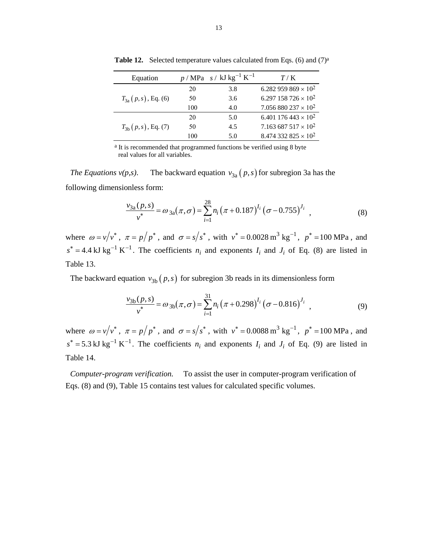| Equation                |     | $p/MPa$ s / kJ kg <sup>-1</sup> K <sup>-1</sup> | T/K                                    |
|-------------------------|-----|-------------------------------------------------|----------------------------------------|
|                         | 20  | 3.8                                             | 6.282 959 869 $\times$ 10 <sup>2</sup> |
| $T_{3a}(p,s)$ , Eq. (6) | 50  | 3.6                                             | 6.297 158 726 $\times$ 10 <sup>2</sup> |
|                         | 100 | 4.0                                             | 7.056 880 237 $\times$ 10 <sup>2</sup> |
|                         | 20  | 5.0                                             | 6.401 176 443 $\times$ 10 <sup>2</sup> |
| $T_{3b}(p,s)$ , Eq. (7) | 50  | 4.5                                             | 7.163 687 517 $\times$ 10 <sup>2</sup> |
|                         | 100 | 5.0                                             | 8.474 332 825 $\times$ 10 <sup>2</sup> |

**Table 12.** Selected temperature values calculated from Eqs. (6) and (7)<sup>a</sup>

a It is recommended that programmed functions be verified using 8 byte real values for all variables.

*The Equations v(p,s)*. The backward equation  $v_{3a}(p, s)$  for subregion 3a has the following dimensionless form:

$$
\frac{v_{3a}(p,s)}{v^*} = \omega_{3a}(\pi,\sigma) = \sum_{i=1}^{28} n_i (\pi + 0.187)^{I_i} (\sigma - 0.755)^{J_i}, \qquad (8)
$$

where  $\omega = v/v^*$ ,  $\pi = p/p^*$ , and  $\sigma = s/s^*$ , with  $v^* = 0.0028 \text{ m}^3 \text{ kg}^{-1}$ ,  $p^* = 100 \text{ MPa}$ , and  $s^* = 4.4$  kJ kg<sup>-1</sup> K<sup>-1</sup>. The coefficients  $n_i$  and exponents  $I_i$  and  $J_i$  of Eq. (8) are listed in Table 13.

The backward equation  $v_{3b}(p, s)$  for subregion 3b reads in its dimensionless form

$$
\frac{v_{3b}(p,s)}{v^*} = \omega_{3b}(\pi,\sigma) = \sum_{i=1}^{31} n_i (\pi + 0.298)^{I_i} (\sigma - 0.816)^{J_i}, \qquad (9)
$$

where  $\omega = v/v^*$ ,  $\pi = p/p^*$ , and  $\sigma = s/s^*$ , with  $v^* = 0.0088 \text{ m}^3 \text{ kg}^{-1}$ ,  $p^* = 100 \text{ MPa}$ , and  $s^* = 5.3$  kJ kg<sup>-1</sup> K<sup>-1</sup>. The coefficients  $n_i$  and exponents  $I_i$  and  $J_i$  of Eq. (9) are listed in Table 14.

*Computer-program verification.* To assist the user in computer-program verification of Eqs. (8) and (9), Table 15 contains test values for calculated specific volumes.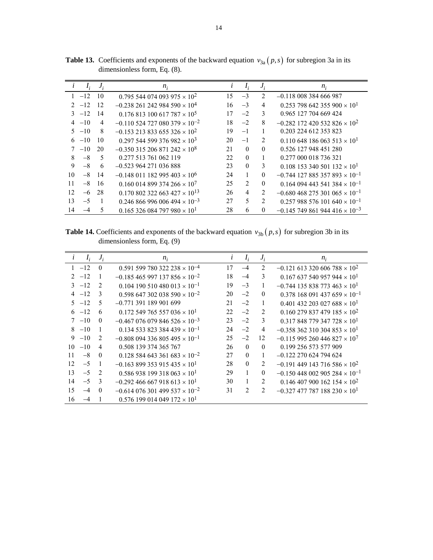| $\iota$       | $I_i$   | $J_i$ | $n_i$                                              | l   | $I_i$          | $J_i$          | $n_i$                                              |
|---------------|---------|-------|----------------------------------------------------|-----|----------------|----------------|----------------------------------------------------|
|               | $1 -12$ | 10    | $0.795544074093975 \times 10^{2}$                  | 15  | $-3$           | 2              | $-0.118\ 008\ 384\ 666\ 987$                       |
| $\mathcal{D}$ | $-12$   | 12    | $-0.238$ 261 242 984 590 $\times$ 10 <sup>4</sup>  | 16  | $-3$           | 4              | $0.253$ 798 642 355 900 $\times$ 10 <sup>1</sup>   |
|               | $3 -12$ | 14    | $0.176813100617787 \times 10^5$                    | 17  | $-2$           | $\mathcal{E}$  | 0.965 127 704 669 424                              |
| 4             | $-10$   | 4     | $-0.110$ 524 727 080 379 $\times$ 10 <sup>-2</sup> | 18  | $-2$           | 8              | $-0.282$ 172 420 532 826 $\times$ 10 <sup>2</sup>  |
| 5.            | $-10$   | 8     | $-0.153$ 213 833 655 326 $\times$ 10 <sup>2</sup>  | 19  | $-1$           |                | 0.203 224 612 353 823                              |
| 6             | $-10$   | 10    | $0.297544599376982 \times 10^{3}$                  | 20  | $-1$           | 2              | $0.110\,648\,186\,063\,513\times10^{1}$            |
| 7             | $-10$   | 20    | $-0.350315206871242\times10^{8}$                   | 2.1 | $\Omega$       | $\Omega$       | 0.526 127 948 451 280                              |
| 8             | $-8$    | 5     | 0.277 513 761 062 119                              | 22. | $\Omega$       |                | 0.277 000 018 736 321                              |
| 9             | $-8$    | 6     | $-0.523964271036888$                               | 23  | $\Omega$       | 3              | $0.108$ 153 340 501 132 $\times$ 10 <sup>1</sup>   |
| 10            | $-8$    | 14    | $-0.148$ 011 182 995 403 $\times$ 10 <sup>6</sup>  | 24  |                | $\theta$       | $-0.744$ 127 885 357 893 $\times$ 10 <sup>-1</sup> |
| 11            | $-8$    | 16    | $0.160$ 014 899 374 266 $\times$ 10 <sup>7</sup>   | 25  | $\mathfrak{D}$ | $\theta$       | $0.164$ 094 443 541 384 $\times$ 10 <sup>-1</sup>  |
| 12            | $-6$    | 28    | $0.170802322663427 \times 10^{13}$                 | 26  | $\overline{4}$ | 2              | $-0.680468275301065\times10^{-1}$                  |
| 13            | $-5$    |       | $0.246866996006494\times10^{-3}$                   | 27  | 5              | $\mathfrak{D}$ | $0.257988576101640\times10^{-1}$                   |
| 14            |         | 5     | $0.165$ 326 084 797 980 $\times$ 10 <sup>1</sup>   | 28  | 6              | $\theta$       | $-0.145$ 749 861 944 416 $\times$ 10 <sup>-3</sup> |

**Table 13.** Coefficients and exponents of the backward equation  $v_{3a}(p, s)$  for subregion 3a in its dimensionless form, Eq. (8).

**Table 14.** Coefficients and exponents of the backward equation  $v_{3b}(p, s)$  for subregion 3b in its dimensionless form, Eq. (9)

| $I_i$<br>$\mathbf{L}$ | $J_i$          | $n_i$                                              | l  | $I_i$          | $J_i$    | $n_i$                                             |
|-----------------------|----------------|----------------------------------------------------|----|----------------|----------|---------------------------------------------------|
| $1 -12$               | $\theta$       | $0.591599780322238\times 10^{-4}$                  | 17 | $-4$           | 2        | $-0.121$ 613 320 606 788 $\times$ 10 <sup>2</sup> |
| $2 -12$               | 1              | $-0.185465997137856 \times 10^{-2}$                | 18 | $-4$           | 3        | $0.167637540957944 \times 10^{1}$                 |
| $3 -12$               | $\mathcal{L}$  | $0.104$ 190 510 480 013 $\times$ 10 <sup>-1</sup>  | 19 | $-3$           | 1        | $-0.744$ 135 838 773 463 $\times$ 10 <sup>1</sup> |
| $4 -12$               | $\mathcal{E}$  | $0.598$ 647 302 038 590 $\times$ 10 <sup>-2</sup>  | 20 | $-2$           | $\theta$ | $0.378$ 168 091 437 659 $\times$ 10 <sup>-1</sup> |
| $5 -12$               | 5              | $-0.771$ 391 189 901 699                           | 21 | $-2$           | 1        | $0.401$ 432 203 027 688 $\times$ 10 <sup>1</sup>  |
| $6 -12$               | 6              | $0.172$ 549 765 557 036 $\times$ 10 <sup>1</sup>   | 22 | $-2$           | 2        | $0.160279837479185 \times 10^{2}$                 |
| $7 -10$               | $\theta$       | $-0.467$ 076 079 846 526 $\times$ 10 <sup>-3</sup> | 23 | $-2$           | 3        | $0.317848779347728 \times 10^{1}$                 |
| $8 - 10$              | 1              | $0.134533823384439 \times 10^{-1}$                 | 24 | $-2$           | 4        | $-0.358362310304853 \times 10^{1}$                |
| $-10$<br>9            | $\mathfrak{D}$ | $-0.808$ 094 336 805 495 $\times$ 10 <sup>-1</sup> | 25 | $-2$           | 12       | $-0.115995260446827 \times 10^{7}$                |
| $-10$<br>10           | 4              | 0.508 139 374 365 767                              | 26 | $\Omega$       | $\Omega$ | 0.199 256 573 577 909                             |
| $-8$<br>11            | $\mathbf{0}$   | $0.128$ 584 643 361 683 $\times$ 10 <sup>-2</sup>  | 27 | $\Omega$       | 1        | $-0.122270624794624$                              |
| 12<br>$-5$            | $\mathbf{1}$   | $-0.163899353915435 \times 10^{1}$                 | 28 | $\Omega$       | 2        | $-0.191$ 449 143 716 586 $\times$ 10 <sup>2</sup> |
| 13<br>$-5$            | 2              | $0.586938199318063 \times 10^{1}$                  | 29 | 1              | $\theta$ | $-0.150448002905284 \times 10^{-1}$               |
| 14<br>$-5$            | 3              | $-0.292466667918613 \times 10^{1}$                 | 30 | 1              | 2        | $0.146407900162154 \times 10^{2}$                 |
| 15<br>$-4$            | $\theta$       | $-0.614\,076\,301\,499\,537\times10^{-2}$          | 31 | $\mathfrak{D}$ | 2        | $-0.327$ 477 787 188 230 $\times$ 10 <sup>1</sup> |
| 16                    |                | $0.576$ 199 014 049 172 $\times$ 10 <sup>1</sup>   |    |                |          |                                                   |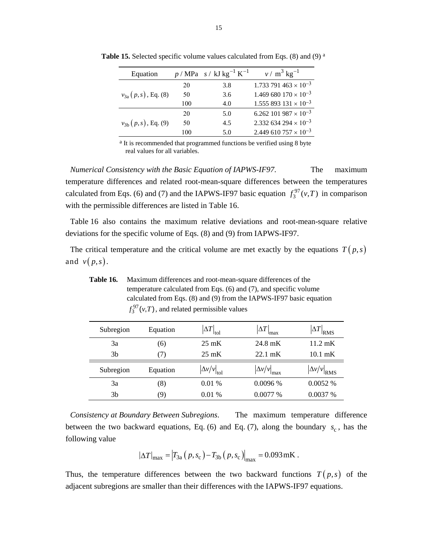| Equation                  |     | $p / MPa \, s / kJ kg^{-1} K^{-1}$ | $v / m^3$ kg <sup>-1</sup>                |
|---------------------------|-----|------------------------------------|-------------------------------------------|
|                           | 20  | 3.8                                | $1.733791463 \times 10^{-3}$              |
| $v_{3a} (p, s)$ , Eq. (8) | 50  | 3.6                                | $1.469680170\times10^{-3}$                |
|                           | 100 | 4.0                                | $1.555893131 \times 10^{-3}$              |
|                           | 20  | 5.0                                | 6.262 101 987 $\times$ 10 <sup>-3</sup>   |
| $v_{3b}(p,s)$ , Eq. (9)   | 50  | 4.5                                | 2.332 634 294 $\times$ 10 <sup>-3</sup>   |
|                           | 100 | 5.0                                | $2.449$ 610 757 $\times$ 10 <sup>-3</sup> |

Table 15. Selected specific volume values calculated from Eqs. (8) and (9) and (9) and (9) and (9) and (9) and (9) and (9) and (9) and (9) and (9) and (9) and (9) and (9) and (9) and (9) and (9) and (9) and (9) and (9) and

a It is recommended that programmed functions be verified using 8 byte real values for all variables.

*Numerical Consistency with the Basic Equation of IAPWS-IF97*. The maximum temperature differences and related root-mean-square differences between the temperatures calculated from Eqs. (6) and (7) and the IAPWS-IF97 basic equation  $f_3^{97}(v,T)$  in comparison with the permissible differences are listed in Table 16.

Table 16 also contains the maximum relative deviations and root-mean-square relative deviations for the specific volume of Eqs. (8) and (9) from IAPWS-IF97.

The critical temperature and the critical volume are met exactly by the equations  $T(p,s)$ and  $v(p,s)$ .

**Table 16.** Maximum differences and root-mean-square differences of the temperature calculated from Eqs. (6) and (7), and specific volume calculated from Eqs. (8) and (9) from the IAPWS-IF97 basic equation  $f_3^{97}(v,T)$ , and related permissible values

| Subregion | Equation                     | $\Delta T$<br>tol                   | $\Delta T$<br>max    | <b>RMS</b>          |
|-----------|------------------------------|-------------------------------------|----------------------|---------------------|
| 3a        | (6)                          | $25 \text{ mK}$                     | 24.8 mK              | $11.2 \text{ mK}$   |
| 3b        | $\left( \frac{1}{2} \right)$ | $25 \text{ mK}$                     | $22.1 \text{ mK}$    | $10.1 \text{ mK}$   |
| Subregion | Equation                     | $\left \Delta v/v\right _{\rm tol}$ | $\Delta v/v$<br>lmax | $\Delta v/v _{RMS}$ |
| 3a        | (8)                          | 0.01%                               | 0.0096%              | 0.0052%             |
| 3b        | 9)                           | 0.01%                               | $0.0077\%$           | $0.0037\%$          |

*Consistency at Boundary Between Subregions*. The maximum temperature difference between the two backward equations, Eq. (6) and Eq. (7), along the boundary  $s_c$ , has the following value

$$
|\Delta T|_{\text{max}} = |T_{3a} (p, s_c) - T_{3b} (p, s_c)|_{\text{max}} = 0.093 \,\text{mK}.
$$

Thus, the temperature differences between the two backward functions  $T(p,s)$  of the adjacent subregions are smaller than their differences with the IAPWS-IF97 equations.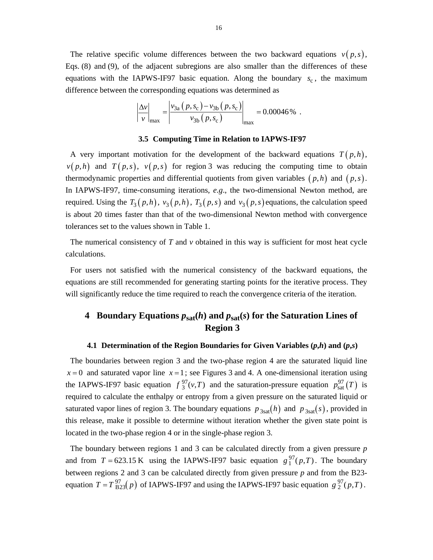The relative specific volume differences between the two backward equations  $v(p, s)$ , Eqs. (8) and (9), of the adjacent subregions are also smaller than the differences of these equations with the IAPWS-IF97 basic equation. Along the boundary  $s_c$ , the maximum difference between the corresponding equations was determined as

$$
\left| \frac{\Delta v}{v} \right|_{\text{max}} = \left| \frac{v_{3a} (p, s_c) - v_{3b} (p, s_c)}{v_{3b} (p, s_c)} \right|_{\text{max}} = 0.00046\% .
$$

#### **3.5 Computing Time in Relation to IAPWS-IF97**

A very important motivation for the development of the backward equations  $T(p,h)$ ,  $v(p,h)$  and  $T(p,s)$ ,  $v(p,s)$  for region 3 was reducing the computing time to obtain thermodynamic properties and differential quotients from given variables  $(p, h)$  and  $(p, s)$ . In IAPWS-IF97, time-consuming iterations, *e*.*g*., the two-dimensional Newton method, are required. Using the  $T_3(p,h)$ ,  $v_3(p,h)$ ,  $T_3(p,s)$  and  $v_3(p,s)$  equations, the calculation speed is about 20 times faster than that of the two-dimensional Newton method with convergence tolerances set to the values shown in Table 1.

The numerical consistency of *T* and *v* obtained in this way is sufficient for most heat cycle calculations.

For users not satisfied with the numerical consistency of the backward equations, the equations are still recommended for generating starting points for the iterative process. They will significantly reduce the time required to reach the convergence criteria of the iteration.

# **4 Boundary Equations**  $p_{sat}(h)$  **and**  $p_{sat}(s)$  **for the Saturation Lines of Region 3**

#### **4.1 Determination of the Region Boundaries for Given Variables**  $(p,h)$  **and**  $(p,s)$

The boundaries between region 3 and the two-phase region 4 are the saturated liquid line  $x = 0$  and saturated vapor line  $x = 1$ ; see Figures 3 and 4. A one-dimensional iteration using the IAPWS-IF97 basic equation  $f_3^{97}(v,T)$  and the saturation-pressure equation  $p_{sat}^{97}(T)$  is required to calculate the enthalpy or entropy from a given pressure on the saturated liquid or saturated vapor lines of region 3. The boundary equations  $p_{3sat}(h)$  and  $p_{3sat}(s)$ , provided in this release, make it possible to determine without iteration whether the given state point is located in the two-phase region 4 or in the single-phase region 3.

The boundary between regions 1 and 3 can be calculated directly from a given pressure *p* and from  $T = 623.15 \text{ K}$  using the IAPWS-IF97 basic equation  $g_1^{97}(p,T)$ . The boundary between regions 2 and 3 can be calculated directly from given pressure *p* and from the B23 equation  $T = T_{B23}^{97}(p)$  of IAPWS-IF97 and using the IAPWS-IF97 basic equation  $g_2^{97}(p,T)$ .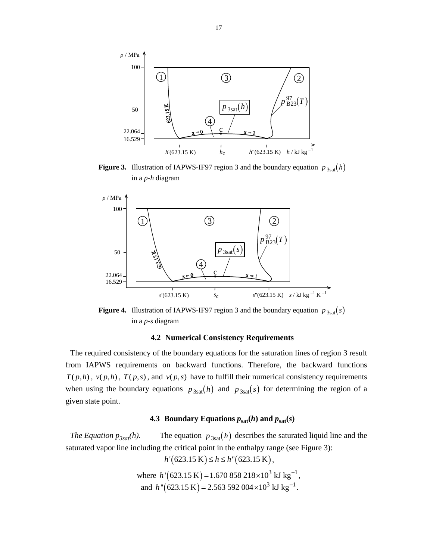

**Figure 3.** Illustration of IAPWS-IF97 region 3 and the boundary equation  $p_{3sat}(h)$ in a *p*-*h* diagram





### **4.2 Numerical Consistency Requirements**

The required consistency of the boundary equations for the saturation lines of region 3 result from IAPWS requirements on backward functions. Therefore, the backward functions  $T(p,h)$ ,  $v(p,h)$ ,  $T(p,s)$ , and  $v(p,s)$  have to fulfill their numerical consistency requirements when using the boundary equations  $p_{3sat}(h)$  and  $p_{3sat}(s)$  for determining the region of a given state point.

#### **4.3 Boundary Equations**  $p_{\text{sat}}(h)$  **and**  $p_{\text{sat}}(s)$

*The Equation*  $p_{3sat}(h)$ *.* The equation  $p_{3sat}(h)$  describes the saturated liquid line and the saturated vapor line including the critical point in the enthalpy range (see Figure 3):

 $h'(623.15 \text{ K}) \leq h \leq h''(623.15 \text{ K}),$ 

where  $h'(623.15 \text{ K}) = 1.670 858 218 \times 10^3 \text{ kJ kg}^{-1}$ , and  $h''(623.15 \text{ K}) = 2.563\,592\,004 \times 10^3 \text{ kJ kg}^{-1}$ .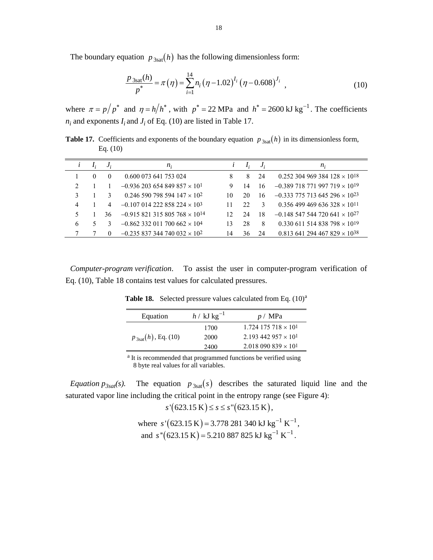The boundary equation  $p_{3sat}(h)$  has the following dimensionless form:

Eq. (10)

$$
\frac{p_{3\text{sat}}(h)}{p^*} = \pi(\eta) = \sum_{i=1}^{14} n_i (\eta - 1.02)^{I_i} (\eta - 0.608)^{J_i}, \qquad (10)
$$

where  $\pi = p/p^*$  and  $\eta = h/h^*$ , with  $p^* = 22 \text{ MPa}$  and  $h^* = 2600 \text{ kJ kg}^{-1}$ . The coefficients  $n_i$  and exponents  $I_i$  and  $J_i$  of Eq. (10) are listed in Table 17.

*i Ii Ji*  $n_i$  *i*  $I_i$   $J_i$  *n<sub>i</sub>* 1 0 0 0.600 073 641 753 024 8 8 24 0.252 304 969 384 128  $\times$  10<sup>18</sup> 2 1 1 -0.936 203 654 849 857  $\times$  10<sup>1</sup> 9 14 16 -0.389 718 771 997 719  $\times$  10<sup>19</sup> 3 1 3 0.246 590 798 594  $147 \times 10^2$  10 20 16 -0.333 775 713 645 296  $\times$  10<sup>23</sup> 4 1 4 -0.107 014 222 858 224  $\times$  10<sup>3</sup> 11 22 3 0.356 499 469 636 328  $\times$  10<sup>11</sup> 5 1 36 -0.915 821 315 805 768  $\times$  10<sup>14</sup> 12 24 18 -0.148 547 544 720 641  $\times$  10<sup>27</sup> 6 5 3  $-0.862332011700662 \times 10^4$  13 28 8 0.330 611 514 838 798  $\times$  10<sup>19</sup> 7 7 0 -0.235 837 344 740 032  $\times$  10<sup>2</sup> 14 36 24 0.813 641 294 467 829  $\times$  10<sup>38</sup>

**Table 17.** Coefficients and exponents of the boundary equation  $p_{3sat}(h)$  in its dimensionless form,

*Computer-program verification*. To assist the user in computer-program verification of Eq. (10), Table 18 contains test values for calculated pressures.

**Table 18.** Selected pressure values calculated from Eq.  $(10)^a$ 

| Equation                        | $h / kJ kg^{-1}$ | p / MPa                                  |
|---------------------------------|------------------|------------------------------------------|
|                                 | 1700             | $1.724$ 175 718 $\times$ 10 <sup>1</sup> |
| $p_{3\text{sat}}(h)$ , Eq. (10) | 2000             | 2.193 442 957 $\times$ 10 <sup>1</sup>   |
|                                 | 2400             | $2.018\,090\,839\times10^{1}$            |
|                                 |                  |                                          |

a It is recommended that programmed functions be verified using 8 byte real values for all variables.

*Equation*  $p_{3sat}(s)$ *.* The equation  $p_{3sat}(s)$  describes the saturated liquid line and the saturated vapor line including the critical point in the entropy range (see Figure 4):

 $s'(623.15 \text{ K}) \leq s \leq s''(623.15 \text{ K}),$ 

where 
$$
s'(623.15 \text{ K}) = 3.778281340 \text{ kJ kg}^{-1} \text{ K}^{-1}
$$
,  
and  $s''(623.15 \text{ K}) = 5.210887825 \text{ kJ kg}^{-1} \text{ K}^{-1}$ .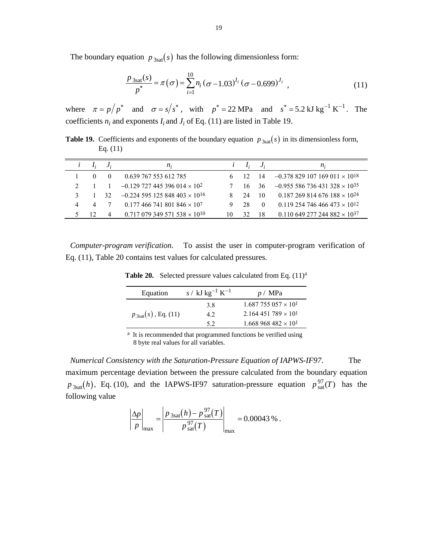The boundary equation  $p_{3sat}(s)$  has the following dimensionless form:

$$
\frac{p_{3\text{sat}}(s)}{p^*} = \pi(\sigma) = \sum_{i=1}^{10} n_i (\sigma - 1.03)^{I_i} (\sigma - 0.699)^{J_i}, \qquad (11)
$$

where  $\pi = p/p^*$  and  $\sigma = s/s^*$ , with  $p^* = 22 \text{ MPa}$  and  $s^* = 5.2 \text{ kJ kg}^{-1} \text{ K}^{-1}$ . The coefficients  $n_i$  and exponents  $I_i$  and  $J_i$  of Eq. (11) are listed in Table 19.

**Table 19.** Coefficients and exponents of the boundary equation  $p_{3sat}(s)$  in its dimensionless form, Eq. (11)

|   |     | <i>n</i> :                                         |    |     |      | $n_{i}$                             |
|---|-----|----------------------------------------------------|----|-----|------|-------------------------------------|
|   |     | 0.639 767 553 612 785                              |    |     | - 14 | $-0.378829107169011 \times 10^{18}$ |
|   |     | $-0.129$ 727 445 396 014 $\times$ 10 <sup>2</sup>  |    | 16. | -36  | $-0.955586736431328 \times 10^{35}$ |
| 3 | -32 | $-0.224$ 595 125 848 403 $\times$ 10 <sup>16</sup> |    | -24 | 10   | $0.187269814676188 \times 10^{24}$  |
| 4 |     | $0.177466741801846 \times 107$                     |    | 28  |      | $0.119254746466473 \times 10^{12}$  |
|   |     | $0.717\ 079\ 349\ 571\ 538\times10^{10}$           | 10 | 32  | 18   | $0.110649277244882 \times 10^{37}$  |

*Computer-program verification*. To assist the user in computer-program verification of Eq. (11), Table 20 contains test values for calculated pressures.

Table 20. Selected pressure values calculated from Eq.  $(11)^{a}$ 

| Equation                 | s / kJ kg <sup>-1</sup> K <sup>-1</sup> | p / MPa                     |
|--------------------------|-----------------------------------------|-----------------------------|
|                          | 3.8                                     | $1.687755057 \times 10^{1}$ |
| $p_{3sat}(s)$ , Eq. (11) | 4.2                                     | $2.164451789 \times 10^{1}$ |
|                          | 5.2                                     | $1.668968482 \times 10^{1}$ |

a It is recommended that programmed functions be verified using 8 byte real values for all variables.

*Numerical Consistency with the Saturation-Pressure Equation of IAPWS-IF97*. The maximum percentage deviation between the pressure calculated from the boundary equation  $p_{3\text{sat}}(h)$ , Eq. (10), and the IAPWS-IF97 saturation-pressure equation  $p_{\text{sat}}^{97}(T)$  has the following value

$$
\left| \frac{\Delta p}{p} \right|_{\text{max}} = \left| \frac{p_{3\text{sat}}(h) - p_{\text{sat}}^{97}(T)}{p_{\text{sat}}^{97}(T)} \right|_{\text{max}} = 0.00043\%.
$$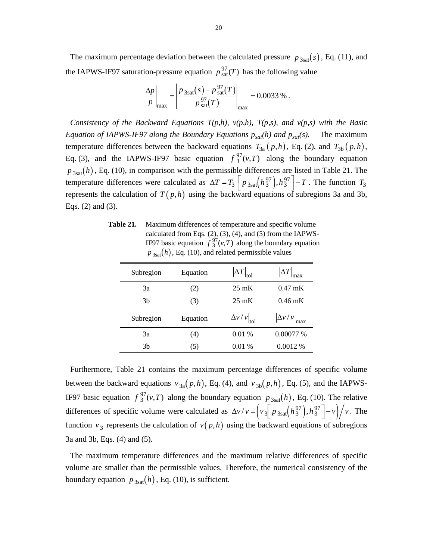The maximum percentage deviation between the calculated pressure  $p_{3sat}(s)$ , Eq. (11), and the IAPWS-IF97 saturation-pressure equation  $p_{sat}^{97}(T)$  has the following value

$$
\left|\frac{\Delta p}{p}\right|_{\text{max}} = \left|\frac{p_{3\text{sat}}(s) - p_{\text{sat}}^{97}(T)}{p_{\text{sat}}^{97}(T)}\right|_{\text{max}} = 0.0033\,\%.
$$

*Consistency of the Backward Equations T(p,h), v(p,h), T(p,s), and v(p,s) with the Basic Equation of IAPWS-IF97 along the Boundary Equations*  $p_{sat}(h)$  *and*  $p_{sat}(s)$ *.* The maximum temperature differences between the backward equations  $T_{3a}(p,h)$ , Eq. (2), and  $T_{3b}(p,h)$ , Eq. (3), and the IAPWS-IF97 basic equation  $f_3^{97}(v,T)$  along the boundary equation  $p_{3sat}(h)$ , Eq. (10), in comparison with the permissible differences are listed in Table 21. The temperature differences were calculated as  $\Delta T = T_3 \left[ p_{3\text{sat}} \left( h_3^{97} \right), h_3^{97} \right] - T$ . The function  $T_3$ represents the calculation of  $T(p,h)$  using the backward equations of subregions 3a and 3b, Eqs. (2) and (3).

**Table 21.** Maximum differences of temperature and specific volume calculated from Eqs. (2), (3), (4), and (5) from the IAPWS-IF97 basic equation  $f_3^{97}(v,T)$  along the boundary equation  $p_{3sat}(h)$ , Eq. (10), and related permissible values

| Subregion | Equation | $\Delta T\big _{\text{tol}}$           | $\Delta T$<br>max       |
|-----------|----------|----------------------------------------|-------------------------|
| 3a        | (2)      | $25 \text{ mK}$                        | $0.47 \text{ mK}$       |
| 3b        | (3)      | $25 \text{ mK}$                        | $0.46 \text{ mK}$       |
|           |          |                                        |                         |
| Subregion | Equation | $\left \Delta v/v\right _{\text{tol}}$ | $ \Delta v / v $<br>max |
| 3a        | (4)      | 0.01%                                  | 0.00077 %               |

Furthermore, Table 21 contains the maximum percentage differences of specific volume between the backward equations  $v_{3a}(p,h)$ , Eq. (4), and  $v_{3b}(p,h)$ , Eq. (5), and the IAPWS-IF97 basic equation  $f_3^{97}(v,T)$  along the boundary equation  $p_{3sat}(h)$ , Eq. (10). The relative differences of specific volume were calculated as  $\Delta v/v = \left(v_3 \left[ p_{3sat} \left(h_3^{97}\right), h_3^{97} \left(-v_3\right)\right] / v$ . The function  $v_3$  represents the calculation of  $v(p,h)$  using the backward equations of subregions 3a and 3b, Eqs. (4) and (5).

The maximum temperature differences and the maximum relative differences of specific volume are smaller than the permissible values. Therefore, the numerical consistency of the boundary equation  $p_{3\text{sat}}(h)$ , Eq. (10), is sufficient.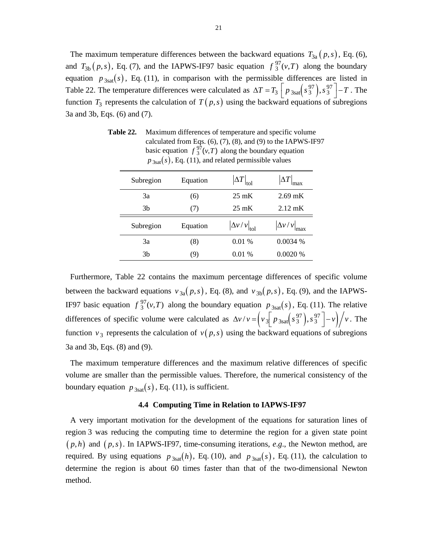The maximum temperature differences between the backward equations  $T_{3a}(p,s)$ , Eq. (6), and  $T_{3b}(p,s)$ , Eq. (7), and the IAPWS-IF97 basic equation  $f^{97}(v,T)$  along the boundary equation  $p_{3sat}(s)$ , Eq. (11), in comparison with the permissible differences are listed in Table 22. The temperature differences were calculated as  $\Delta T = T_3 \left[ p_{3\text{sat}} \left( s_3^{97} \right), s_3^{97} \right] - T$ . The function  $T_3$  represents the calculation of  $T(p,s)$  using the backward equations of subregions 3a and 3b, Eqs. (6) and (7).

| Subregion      | Equation | $\Delta T\big _{\text{tol}}$  | $\Delta T$<br>max     |
|----------------|----------|-------------------------------|-----------------------|
| 3a             | (6)      | $25 \text{ mK}$               | $2.69$ mK             |
| 3b             | (7)      | $25 \text{ mK}$               | $2.12 \text{ mK}$     |
| Subregion      | Equation | $ \Delta v / v _{\text{tol}}$ | $ \Delta v/v $<br>max |
| 3a             | (8)      | 0.01%                         | $0.0034\%$            |
| 3 <sub>b</sub> | (9)      | 0.01%                         | 0.0020%               |

**Table 22.** Maximum differences of temperature and specific volume calculated from Eqs. (6), (7), (8), and (9) to the IAPWS-IF97 basic equation  $f_3^{97}(v,T)$  along the boundary equation  $p_{3sat}(s)$ , Eq. (11), and related permissible values

Furthermore, Table 22 contains the maximum percentage differences of specific volume between the backward equations  $v_{3a}(p, s)$ , Eq. (8), and  $v_{3b}(p, s)$ , Eq. (9), and the IAPWS-IF97 basic equation  $f_3^{97}(v,T)$  along the boundary equation  $p_{3sat}(s)$ , Eq. (11). The relative differences of specific volume were calculated as  $\Delta v/v = \left(v_{3} \left[ p_{3\text{sat}} \left(s_{3}^{97} \right), s_{3}^{97} \right] - v \right) / v$ . The function  $v_3$  represents the calculation of  $v(p,s)$  using the backward equations of subregions 3a and 3b, Eqs. (8) and (9).

The maximum temperature differences and the maximum relative differences of specific volume are smaller than the permissible values. Therefore, the numerical consistency of the boundary equation  $p_{3\text{sat}}(s)$ , Eq. (11), is sufficient.

#### **4.4 Computing Time in Relation to IAPWS-IF97**

A very important motivation for the development of the equations for saturation lines of region 3 was reducing the computing time to determine the region for a given state point  $(p,h)$  and  $(p,s)$ . In IAPWS-IF97, time-consuming iterations, *e.g.*, the Newton method, are required. By using equations  $p_{3sat}(h)$ , Eq. (10), and  $p_{3sat}(s)$ , Eq. (11), the calculation to determine the region is about 60 times faster than that of the two-dimensional Newton method.